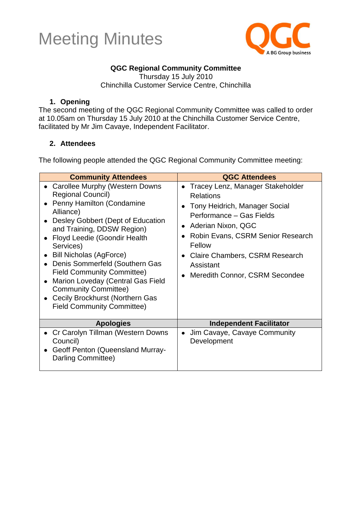



### **QGC Regional Community Committee**

Thursday 15 July 2010 Chinchilla Customer Service Centre, Chinchilla

#### **1. Opening**

The second meeting of the QGC Regional Community Committee was called to order at 10.05am on Thursday 15 July 2010 at the Chinchilla Customer Service Centre, facilitated by Mr Jim Cavaye, Independent Facilitator.

#### **2. Attendees**

The following people attended the QGC Regional Community Committee meeting:

| <b>Community Attendees</b>                                                                                                                                                                                                                                                                                                                                                                                                                                                                               | <b>QGC Attendees</b>                                                                                                                                                                                                                                                                   |
|----------------------------------------------------------------------------------------------------------------------------------------------------------------------------------------------------------------------------------------------------------------------------------------------------------------------------------------------------------------------------------------------------------------------------------------------------------------------------------------------------------|----------------------------------------------------------------------------------------------------------------------------------------------------------------------------------------------------------------------------------------------------------------------------------------|
| • Carollee Murphy (Western Downs<br><b>Regional Council)</b><br><b>Penny Hamilton (Condamine</b><br>Alliance)<br>• Desley Gobbert (Dept of Education<br>and Training, DDSW Region)<br>Floyd Leedie (Goondir Health<br>Services)<br><b>Bill Nicholas (AgForce)</b><br>Denis Sommerfeld (Southern Gas<br><b>Field Community Committee)</b><br>Marion Loveday (Central Gas Field<br>$\bullet$<br><b>Community Committee)</b><br><b>Cecily Brockhurst (Northern Gas</b><br><b>Field Community Committee)</b> | Tracey Lenz, Manager Stakeholder<br>$\bullet$<br><b>Relations</b><br>Tony Heidrich, Manager Social<br>Performance - Gas Fields<br>• Aderian Nixon, QGC<br>Robin Evans, CSRM Senior Research<br>Fellow<br>Claire Chambers, CSRM Research<br>Assistant<br>Meredith Connor, CSRM Secondee |
| <b>Apologies</b>                                                                                                                                                                                                                                                                                                                                                                                                                                                                                         | <b>Independent Facilitator</b>                                                                                                                                                                                                                                                         |
| Cr Carolyn Tillman (Western Downs<br>Council)<br>Geoff Penton (Queensland Murray-<br>Darling Committee)                                                                                                                                                                                                                                                                                                                                                                                                  | Jim Cavaye, Cavaye Community<br>$\bullet$<br>Development                                                                                                                                                                                                                               |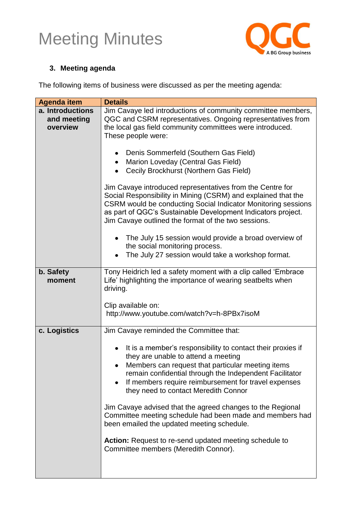

### **3. Meeting agenda**

The following items of business were discussed as per the meeting agenda:

| <b>Agenda item</b>                          | <b>Details</b>                                                                                                                                                                                                                                                                                                                                                                                                                                                                                                                                                                               |
|---------------------------------------------|----------------------------------------------------------------------------------------------------------------------------------------------------------------------------------------------------------------------------------------------------------------------------------------------------------------------------------------------------------------------------------------------------------------------------------------------------------------------------------------------------------------------------------------------------------------------------------------------|
| a. Introductions<br>and meeting<br>overview | Jim Cavaye led introductions of community committee members,<br>QGC and CSRM representatives. Ongoing representatives from<br>the local gas field community committees were introduced.<br>These people were:                                                                                                                                                                                                                                                                                                                                                                                |
|                                             | Denis Sommerfeld (Southern Gas Field)<br>Marion Loveday (Central Gas Field)<br>Cecily Brockhurst (Northern Gas Field)                                                                                                                                                                                                                                                                                                                                                                                                                                                                        |
|                                             | Jim Cavaye introduced representatives from the Centre for<br>Social Responsibility in Mining (CSRM) and explained that the<br>CSRM would be conducting Social Indicator Monitoring sessions<br>as part of QGC's Sustainable Development Indicators project.<br>Jim Cavaye outlined the format of the two sessions.                                                                                                                                                                                                                                                                           |
|                                             | The July 15 session would provide a broad overview of<br>the social monitoring process.<br>The July 27 session would take a workshop format.                                                                                                                                                                                                                                                                                                                                                                                                                                                 |
| b. Safety<br>moment                         | Tony Heidrich led a safety moment with a clip called 'Embrace<br>Life' highlighting the importance of wearing seatbelts when<br>driving.                                                                                                                                                                                                                                                                                                                                                                                                                                                     |
|                                             | Clip available on:<br>http://www.youtube.com/watch?v=h-8PBx7isoM                                                                                                                                                                                                                                                                                                                                                                                                                                                                                                                             |
| c. Logistics                                | Jim Cavaye reminded the Committee that:                                                                                                                                                                                                                                                                                                                                                                                                                                                                                                                                                      |
|                                             | It is a member's responsibility to contact their proxies if<br>they are unable to attend a meeting<br>Members can request that particular meeting items<br>remain confidential through the Independent Facilitator<br>If members require reimbursement for travel expenses<br>they need to contact Meredith Connor<br>Jim Cavaye advised that the agreed changes to the Regional<br>Committee meeting schedule had been made and members had<br>been emailed the updated meeting schedule.<br>Action: Request to re-send updated meeting schedule to<br>Committee members (Meredith Connor). |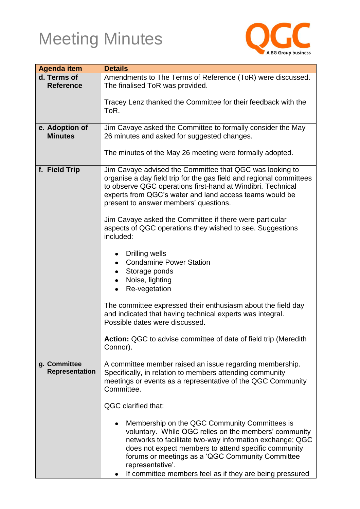

| Amendments to The Terms of Reference (ToR) were discussed.<br>The finalised ToR was provided.                                                                                                                                                                                                                                                                                                                                                                                                                                                                                              |  |
|--------------------------------------------------------------------------------------------------------------------------------------------------------------------------------------------------------------------------------------------------------------------------------------------------------------------------------------------------------------------------------------------------------------------------------------------------------------------------------------------------------------------------------------------------------------------------------------------|--|
| Tracey Lenz thanked the Committee for their feedback with the<br>ToR.                                                                                                                                                                                                                                                                                                                                                                                                                                                                                                                      |  |
| Jim Cavaye asked the Committee to formally consider the May<br>26 minutes and asked for suggested changes.                                                                                                                                                                                                                                                                                                                                                                                                                                                                                 |  |
| The minutes of the May 26 meeting were formally adopted.                                                                                                                                                                                                                                                                                                                                                                                                                                                                                                                                   |  |
| Jim Cavaye advised the Committee that QGC was looking to<br>organise a day field trip for the gas field and regional committees<br>to observe QGC operations first-hand at Windibri. Technical<br>experts from QGC's water and land access teams would be<br>present to answer members' questions.                                                                                                                                                                                                                                                                                         |  |
| Jim Cavaye asked the Committee if there were particular<br>aspects of QGC operations they wished to see. Suggestions<br>included:                                                                                                                                                                                                                                                                                                                                                                                                                                                          |  |
| Drilling wells<br>$\bullet$<br><b>Condamine Power Station</b><br>$\bullet$<br>Storage ponds<br>Noise, lighting<br>Re-vegetation                                                                                                                                                                                                                                                                                                                                                                                                                                                            |  |
| The committee expressed their enthusiasm about the field day<br>and indicated that having technical experts was integral.<br>Possible dates were discussed.                                                                                                                                                                                                                                                                                                                                                                                                                                |  |
| Action: QGC to advise committee of date of field trip (Meredith<br>Connor).                                                                                                                                                                                                                                                                                                                                                                                                                                                                                                                |  |
| A committee member raised an issue regarding membership.<br>Specifically, in relation to members attending community<br>meetings or events as a representative of the QGC Community<br>Committee.<br>QGC clarified that:<br>Membership on the QGC Community Committees is<br>voluntary. While QGC relies on the members' community<br>networks to facilitate two-way information exchange; QGC<br>does not expect members to attend specific community<br>forums or meetings as a 'QGC Community Committee<br>representative'.<br>If committee members feel as if they are being pressured |  |
|                                                                                                                                                                                                                                                                                                                                                                                                                                                                                                                                                                                            |  |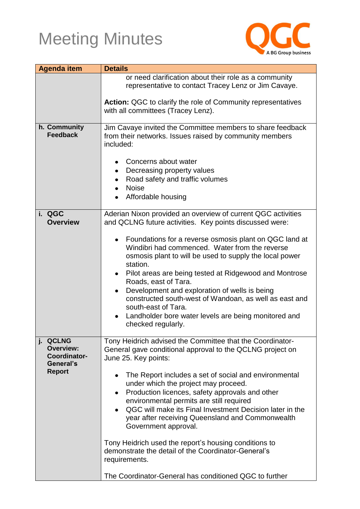

| <b>Agenda item</b>                                                         | <b>Details</b>                                                                                                                                                                                                                                                                                                                                                                                                                                                                                                                                                                                                                                                                                 |  |
|----------------------------------------------------------------------------|------------------------------------------------------------------------------------------------------------------------------------------------------------------------------------------------------------------------------------------------------------------------------------------------------------------------------------------------------------------------------------------------------------------------------------------------------------------------------------------------------------------------------------------------------------------------------------------------------------------------------------------------------------------------------------------------|--|
|                                                                            | or need clarification about their role as a community<br>representative to contact Tracey Lenz or Jim Cavaye.                                                                                                                                                                                                                                                                                                                                                                                                                                                                                                                                                                                  |  |
|                                                                            | <b>Action:</b> QGC to clarify the role of Community representatives<br>with all committees (Tracey Lenz).                                                                                                                                                                                                                                                                                                                                                                                                                                                                                                                                                                                      |  |
| h. Community<br><b>Feedback</b>                                            | Jim Cavaye invited the Committee members to share feedback<br>from their networks. Issues raised by community members<br>included:                                                                                                                                                                                                                                                                                                                                                                                                                                                                                                                                                             |  |
|                                                                            | Concerns about water<br>$\bullet$<br>Decreasing property values<br>٠<br>Road safety and traffic volumes<br><b>Noise</b><br>Affordable housing                                                                                                                                                                                                                                                                                                                                                                                                                                                                                                                                                  |  |
| i. QGC<br><b>Overview</b>                                                  | Aderian Nixon provided an overview of current QGC activities<br>and QCLNG future activities. Key points discussed were:                                                                                                                                                                                                                                                                                                                                                                                                                                                                                                                                                                        |  |
|                                                                            | Foundations for a reverse osmosis plant on QGC land at<br>$\bullet$<br>Windibri had commenced. Water from the reverse<br>osmosis plant to will be used to supply the local power<br>station.<br>Pilot areas are being tested at Ridgewood and Montrose<br>$\bullet$<br>Roads, east of Tara.<br>Development and exploration of wells is being<br>$\bullet$<br>constructed south-west of Wandoan, as well as east and<br>south-east of Tara.<br>Landholder bore water levels are being monitored and<br>$\bullet$<br>checked regularly.                                                                                                                                                          |  |
| j. QCLNG<br><b>Overview:</b><br>Coordinator-<br>General's<br><b>Report</b> | Tony Heidrich advised the Committee that the Coordinator-<br>General gave conditional approval to the QCLNG project on<br>June 25. Key points:<br>The Report includes a set of social and environmental<br>under which the project may proceed.<br>Production licences, safety approvals and other<br>$\bullet$<br>environmental permits are still required<br>QGC will make its Final Investment Decision later in the<br>year after receiving Queensland and Commonwealth<br>Government approval.<br>Tony Heidrich used the report's housing conditions to<br>demonstrate the detail of the Coordinator-General's<br>requirements.<br>The Coordinator-General has conditioned QGC to further |  |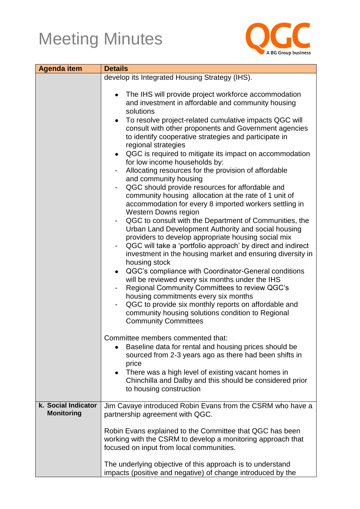

| <b>Agenda item</b>  | <b>Details</b>                                                                                                                                                                                                                                                                                                                                                                                                                                                                                                                                                                                                                                                                                                                                                                                                                                                                                                                                                                                                                                                                                                                                                                                                                                                                                                                                                                                                                                                                   |  |  |
|---------------------|----------------------------------------------------------------------------------------------------------------------------------------------------------------------------------------------------------------------------------------------------------------------------------------------------------------------------------------------------------------------------------------------------------------------------------------------------------------------------------------------------------------------------------------------------------------------------------------------------------------------------------------------------------------------------------------------------------------------------------------------------------------------------------------------------------------------------------------------------------------------------------------------------------------------------------------------------------------------------------------------------------------------------------------------------------------------------------------------------------------------------------------------------------------------------------------------------------------------------------------------------------------------------------------------------------------------------------------------------------------------------------------------------------------------------------------------------------------------------------|--|--|
|                     | develop its Integrated Housing Strategy (IHS).                                                                                                                                                                                                                                                                                                                                                                                                                                                                                                                                                                                                                                                                                                                                                                                                                                                                                                                                                                                                                                                                                                                                                                                                                                                                                                                                                                                                                                   |  |  |
|                     | The IHS will provide project workforce accommodation<br>$\bullet$<br>and investment in affordable and community housing<br>solutions<br>To resolve project-related cumulative impacts QGC will<br>$\bullet$<br>consult with other proponents and Government agencies<br>to identify cooperative strategies and participate in<br>regional strategies<br>QGC is required to mitigate its impact on accommodation<br>$\bullet$<br>for low income households by:<br>Allocating resources for the provision of affordable<br>and community housing<br>QGC should provide resources for affordable and<br>$\qquad \qquad \blacksquare$<br>community housing allocation at the rate of 1 unit of<br>accommodation for every 8 imported workers settling in<br><b>Western Downs region</b><br>QGC to consult with the Department of Communities, the<br>-<br>Urban Land Development Authority and social housing<br>providers to develop appropriate housing social mix<br>QGC will take a 'portfolio approach' by direct and indirect<br>-<br>investment in the housing market and ensuring diversity in<br>housing stock<br>QGC's compliance with Coordinator-General conditions<br>$\bullet$<br>will be reviewed every six months under the IHS<br>Regional Community Committees to review QGC's<br>housing commitments every six months<br>QGC to provide six monthly reports on affordable and<br>community housing solutions condition to Regional<br><b>Community Committees</b> |  |  |
|                     | Committee members commented that:<br>Baseline data for rental and housing prices should be<br>sourced from 2-3 years ago as there had been shifts in<br>price<br>There was a high level of existing vacant homes in<br>$\bullet$<br>Chinchilla and Dalby and this should be considered prior<br>to housing construction                                                                                                                                                                                                                                                                                                                                                                                                                                                                                                                                                                                                                                                                                                                                                                                                                                                                                                                                                                                                                                                                                                                                                          |  |  |
| k. Social Indicator | Jim Cavaye introduced Robin Evans from the CSRM who have a                                                                                                                                                                                                                                                                                                                                                                                                                                                                                                                                                                                                                                                                                                                                                                                                                                                                                                                                                                                                                                                                                                                                                                                                                                                                                                                                                                                                                       |  |  |
| <b>Monitoring</b>   | partnership agreement with QGC.<br>Robin Evans explained to the Committee that QGC has been<br>working with the CSRM to develop a monitoring approach that<br>focused on input from local communities.<br>The underlying objective of this approach is to understand<br>impacts (positive and negative) of change introduced by the                                                                                                                                                                                                                                                                                                                                                                                                                                                                                                                                                                                                                                                                                                                                                                                                                                                                                                                                                                                                                                                                                                                                              |  |  |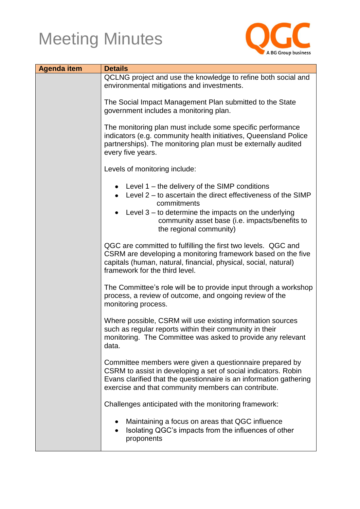

| <b>Agenda item</b> | <b>Details</b>                                                                                                                                                                                                                                                                                                             |  |
|--------------------|----------------------------------------------------------------------------------------------------------------------------------------------------------------------------------------------------------------------------------------------------------------------------------------------------------------------------|--|
|                    | QCLNG project and use the knowledge to refine both social and<br>environmental mitigations and investments.                                                                                                                                                                                                                |  |
|                    | The Social Impact Management Plan submitted to the State<br>government includes a monitoring plan.<br>The monitoring plan must include some specific performance<br>indicators (e.g. community health initiatives, Queensland Police<br>partnerships). The monitoring plan must be externally audited<br>every five years. |  |
|                    |                                                                                                                                                                                                                                                                                                                            |  |
|                    | Levels of monitoring include:                                                                                                                                                                                                                                                                                              |  |
|                    | • Level $1$ – the delivery of the SIMP conditions<br>• Level $2 -$ to ascertain the direct effectiveness of the SIMP<br>commitments<br>Level $3 -$ to determine the impacts on the underlying<br>community asset base (i.e. impacts/benefits to<br>the regional community)                                                 |  |
|                    | QGC are committed to fulfilling the first two levels. QGC and<br>CSRM are developing a monitoring framework based on the five<br>capitals (human, natural, financial, physical, social, natural)<br>framework for the third level.                                                                                         |  |
|                    | The Committee's role will be to provide input through a workshop<br>process, a review of outcome, and ongoing review of the<br>monitoring process.                                                                                                                                                                         |  |
|                    | Where possible, CSRM will use existing information sources<br>such as regular reports within their community in their<br>monitoring. The Committee was asked to provide any relevant<br>data.                                                                                                                              |  |
|                    | Committee members were given a questionnaire prepared by<br>CSRM to assist in developing a set of social indicators. Robin<br>Evans clarified that the questionnaire is an information gathering<br>exercise and that community members can contribute.                                                                    |  |
|                    | Challenges anticipated with the monitoring framework:                                                                                                                                                                                                                                                                      |  |
|                    | Maintaining a focus on areas that QGC influence<br>Isolating QGC's impacts from the influences of other<br>proponents                                                                                                                                                                                                      |  |